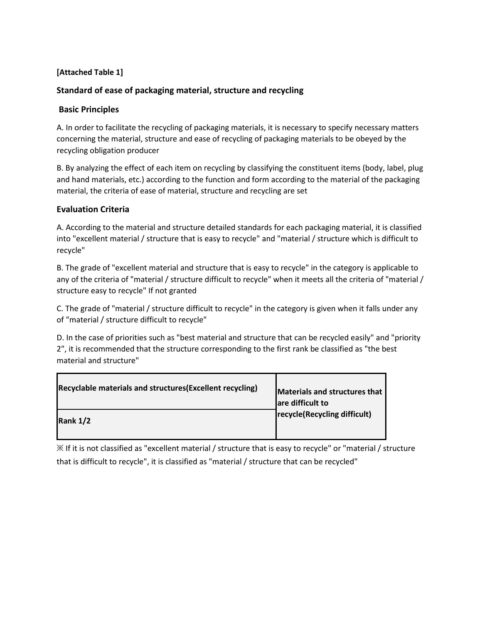## **[Attached Table 1]**

## **Standard of ease of packaging material, structure and recycling**

### **Basic Principles**

A. In order to facilitate the recycling of packaging materials, it is necessary to specify necessary matters concerning the material, structure and ease of recycling of packaging materials to be obeyed by the recycling obligation producer

B. By analyzing the effect of each item on recycling by classifying the constituent items (body, label, plug and hand materials, etc.) according to the function and form according to the material of the packaging material, the criteria of ease of material, structure and recycling are set

### **Evaluation Criteria**

A. According to the material and structure detailed standards for each packaging material, it is classified into "excellent material / structure that is easy to recycle" and "material / structure which is difficult to recycle"

B. The grade of "excellent material and structure that is easy to recycle" in the category is applicable to any of the criteria of "material / structure difficult to recycle" when it meets all the criteria of "material / structure easy to recycle" If not granted

C. The grade of "material / structure difficult to recycle" in the category is given when it falls under any of "material / structure difficult to recycle"

D. In the case of priorities such as "best material and structure that can be recycled easily" and "priority 2", it is recommended that the structure corresponding to the first rank be classified as "the best material and structure"

| Recyclable materials and structures (Excellent recycling) | Materials and structures that<br>are difficult to |
|-----------------------------------------------------------|---------------------------------------------------|
| Rank $1/2$                                                | recycle(Recycling difficult)                      |

※ If it is not classified as "excellent material / structure that is easy to recycle" or "material / structure that is difficult to recycle", it is classified as "material / structure that can be recycled"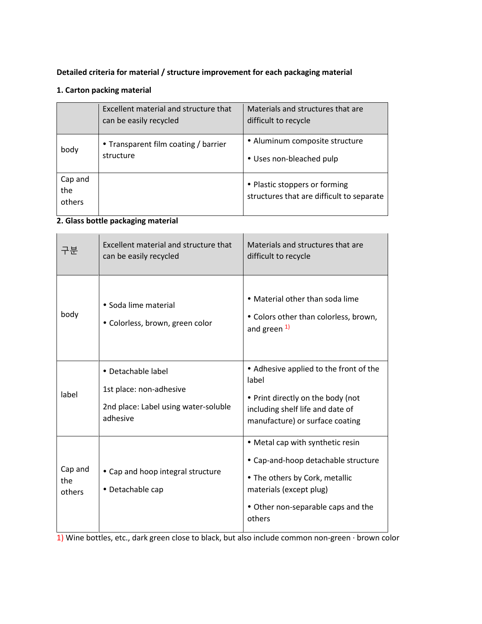# **Detailed criteria for material / structure improvement for each packaging material**

## **1. Carton packing material**

|                          | Excellent material and structure that<br>can be easily recycled | Materials and structures that are<br>difficult to recycle                  |
|--------------------------|-----------------------------------------------------------------|----------------------------------------------------------------------------|
| body                     | • Transparent film coating / barrier<br>structure               | • Aluminum composite structure<br>• Uses non-bleached pulp                 |
| Cap and<br>the<br>others |                                                                 | • Plastic stoppers or forming<br>structures that are difficult to separate |

### **2. Glass bottle packaging material**

| 구부                       | Excellent material and structure that<br>can be easily recycled                                   | Materials and structures that are<br>difficult to recycle                                                                                                                            |
|--------------------------|---------------------------------------------------------------------------------------------------|--------------------------------------------------------------------------------------------------------------------------------------------------------------------------------------|
| body                     | • Soda lime material<br>· Colorless, brown, green color                                           | • Material other than soda lime<br>• Colors other than colorless, brown,<br>and green 1)                                                                                             |
| label                    | • Detachable label<br>1st place: non-adhesive<br>2nd place: Label using water-soluble<br>adhesive | • Adhesive applied to the front of the<br>label<br>• Print directly on the body (not<br>including shelf life and date of<br>manufacture) or surface coating                          |
| Cap and<br>the<br>others | • Cap and hoop integral structure<br>• Detachable cap                                             | • Metal cap with synthetic resin<br>• Cap-and-hoop detachable structure<br>• The others by Cork, metallic<br>materials (except plug)<br>• Other non-separable caps and the<br>others |

1) Wine bottles, etc., dark green close to black, but also include common non-green · brown color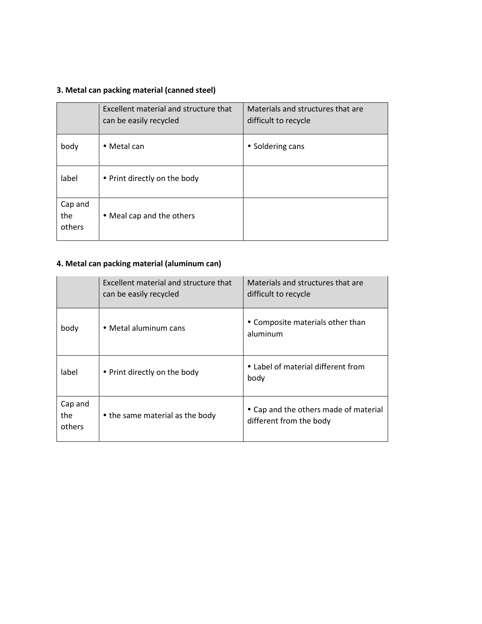# **3. Metal can packing material (canned steel)**

|                          | Excellent material and structure that<br>can be easily recycled | Materials and structures that are<br>difficult to recycle |
|--------------------------|-----------------------------------------------------------------|-----------------------------------------------------------|
| body                     | • Metal can                                                     | • Soldering cans                                          |
| label                    | • Print directly on the body                                    |                                                           |
| Cap and<br>the<br>others | • Meal cap and the others                                       |                                                           |

# **4. Metal can packing material (aluminum can)**

|                          | Excellent material and structure that<br>can be easily recycled | Materials and structures that are<br>difficult to recycle        |
|--------------------------|-----------------------------------------------------------------|------------------------------------------------------------------|
| body                     | • Metal aluminum cans                                           | • Composite materials other than<br>aluminum                     |
| label                    | • Print directly on the body                                    | • Label of material different from<br>body                       |
| Cap and<br>the<br>others | • the same material as the body                                 | • Cap and the others made of material<br>different from the body |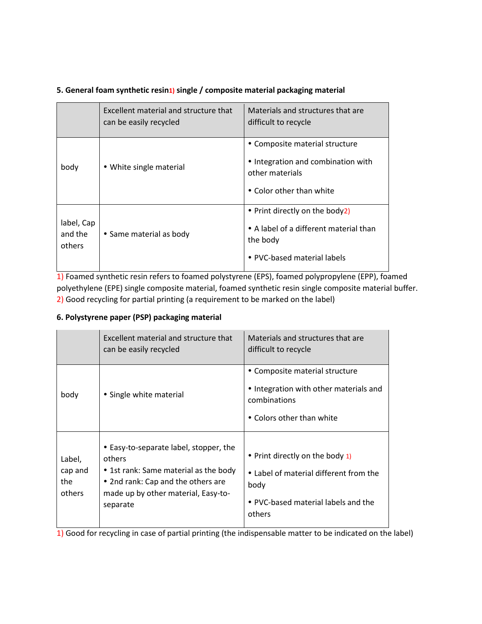## **5. General foam synthetic resin1) single / composite material packaging material**

|                                 | Excellent material and structure that<br>can be easily recycled | Materials and structures that are<br>difficult to recycle                                                           |
|---------------------------------|-----------------------------------------------------------------|---------------------------------------------------------------------------------------------------------------------|
| body                            | • White single material                                         | • Composite material structure<br>• Integration and combination with<br>other materials<br>• Color other than white |
| label, Cap<br>and the<br>others | • Same material as body                                         | • Print directly on the body2)<br>• A label of a different material than<br>the body<br>• PVC-based material labels |

1) Foamed synthetic resin refers to foamed polystyrene (EPS), foamed polypropylene (EPP), foamed polyethylene (EPE) single composite material, foamed synthetic resin single composite material buffer. 2) Good recycling for partial printing (a requirement to be marked on the label)

## **6. Polystyrene paper (PSP) packaging material**

|                                    | Excellent material and structure that<br>can be easily recycled                                                                                                                    | Materials and structures that are<br>difficult to recycle                                                                          |
|------------------------------------|------------------------------------------------------------------------------------------------------------------------------------------------------------------------------------|------------------------------------------------------------------------------------------------------------------------------------|
| body                               | • Single white material                                                                                                                                                            | • Composite material structure<br>• Integration with other materials and<br>combinations<br>• Colors other than white              |
| Label,<br>cap and<br>the<br>others | • Easy-to-separate label, stopper, the<br>others<br>• 1st rank: Same material as the body<br>• 2nd rank: Cap and the others are<br>made up by other material, Easy-to-<br>separate | • Print directly on the body 1)<br>• Label of material different from the<br>body<br>• PVC-based material labels and the<br>others |

1) Good for recycling in case of partial printing (the indispensable matter to be indicated on the label)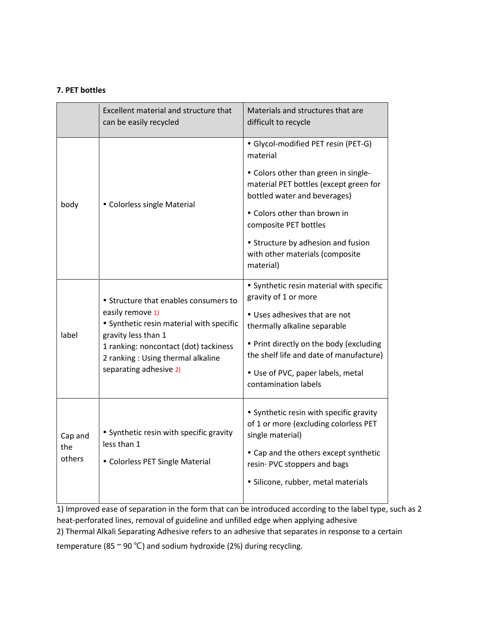### **7. PET bottles**

|                          | Excellent material and structure that<br>can be easily recycled                                                                                                                                                                      | Materials and structures that are<br>difficult to recycle                                                      |
|--------------------------|--------------------------------------------------------------------------------------------------------------------------------------------------------------------------------------------------------------------------------------|----------------------------------------------------------------------------------------------------------------|
|                          | • Colorless single Material                                                                                                                                                                                                          | · Glycol-modified PET resin (PET-G)<br>material                                                                |
|                          |                                                                                                                                                                                                                                      | • Colors other than green in single-<br>material PET bottles (except green for<br>bottled water and beverages) |
| body                     |                                                                                                                                                                                                                                      | • Colors other than brown in<br>composite PET bottles                                                          |
|                          |                                                                                                                                                                                                                                      | • Structure by adhesion and fusion<br>with other materials (composite<br>material)                             |
| label                    | • Structure that enables consumers to<br>easily remove 1)<br>• Synthetic resin material with specific<br>gravity less than 1<br>1 ranking: noncontact (dot) tackiness<br>2 ranking: Using thermal alkaline<br>separating adhesive 2) | • Synthetic resin material with specific<br>gravity of 1 or more                                               |
|                          |                                                                                                                                                                                                                                      | • Uses adhesives that are not<br>thermally alkaline separable                                                  |
|                          |                                                                                                                                                                                                                                      | • Print directly on the body (excluding<br>the shelf life and date of manufacture)                             |
|                          |                                                                                                                                                                                                                                      | • Use of PVC, paper labels, metal<br>contamination labels                                                      |
| Cap and<br>the<br>others | • Synthetic resin with specific gravity<br>less than 1<br>• Colorless PET Single Material                                                                                                                                            | • Synthetic resin with specific gravity<br>of 1 or more (excluding colorless PET                               |
|                          |                                                                                                                                                                                                                                      | single material)<br>• Cap and the others except synthetic                                                      |
|                          |                                                                                                                                                                                                                                      | resin PVC stoppers and bags                                                                                    |
|                          |                                                                                                                                                                                                                                      | · Silicone, rubber, metal materials                                                                            |

1) Improved ease of separation in the form that can be introduced according to the label type, such as 2 heat-perforated lines, removal of guideline and unfilled edge when applying adhesive

2) Thermal Alkali Separating Adhesive refers to an adhesive that separates in response to a certain

temperature (85 ~ 90 ℃) and sodium hydroxide (2%) during recycling.